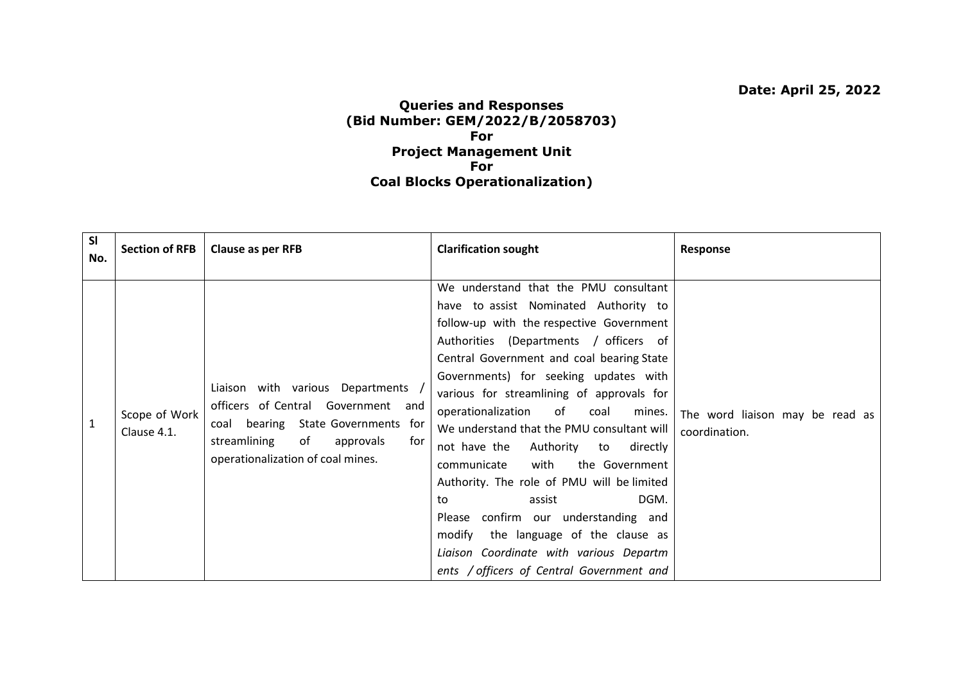## **Queries and Responses (Bid Number: GEM/2022/B/2058703) For Project Management Unit For Coal Blocks Operationalization)**

| SI<br>No.    | <b>Section of RFB</b>        | Clause as per RFB                                                                                                                                                                           | <b>Clarification sought</b>                                                                                                                                                                                                                                                                                                                                                                                                                                                                                                                                                                                                                                                                                                   | Response                                         |
|--------------|------------------------------|---------------------------------------------------------------------------------------------------------------------------------------------------------------------------------------------|-------------------------------------------------------------------------------------------------------------------------------------------------------------------------------------------------------------------------------------------------------------------------------------------------------------------------------------------------------------------------------------------------------------------------------------------------------------------------------------------------------------------------------------------------------------------------------------------------------------------------------------------------------------------------------------------------------------------------------|--------------------------------------------------|
| $\mathbf{1}$ | Scope of Work<br>Clause 4.1. | Liaison with various Departments<br>officers of Central Government and<br>coal bearing State Governments for<br>streamlining<br>of<br>approvals<br>for<br>operationalization of coal mines. | We understand that the PMU consultant<br>have to assist Nominated Authority to<br>follow-up with the respective Government<br>Authorities (Departments / officers of<br>Central Government and coal bearing State<br>Governments) for seeking updates with<br>various for streamlining of approvals for<br>operationalization of coal<br>mines.<br>We understand that the PMU consultant will<br>not have the<br>Authority to directly<br>with<br>the Government<br>communicate<br>Authority. The role of PMU will be limited<br>DGM.<br>assist<br>to<br>Please confirm our understanding and<br>modify the language of the clause as<br>Liaison Coordinate with various Departm<br>ents / officers of Central Government and | The word liaison may be read as<br>coordination. |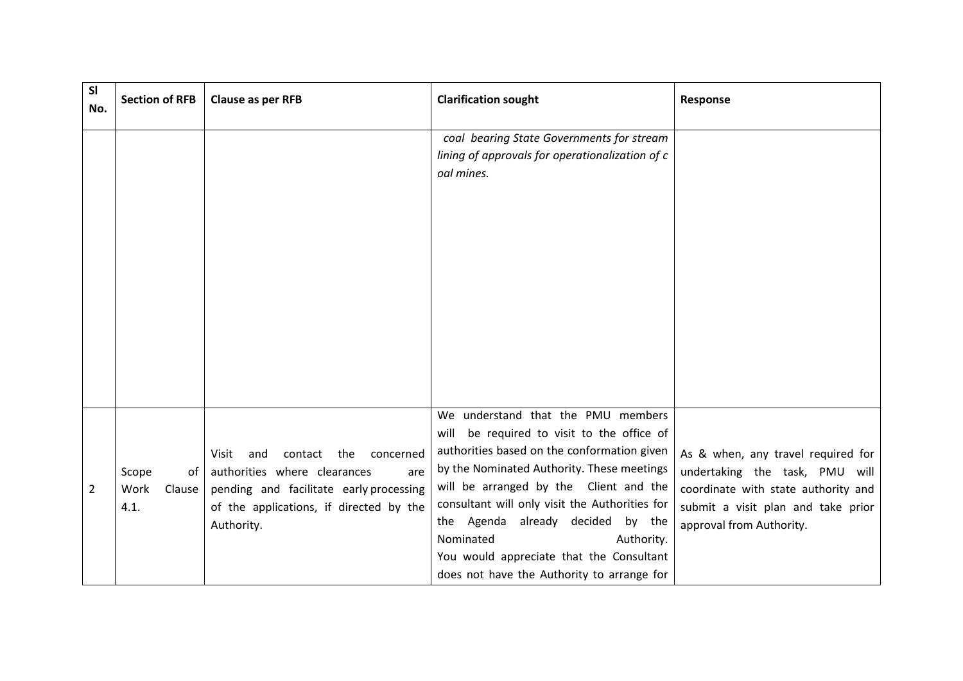| <b>SI</b><br>No. | <b>Section of RFB</b>                 | Clause as per RFB                                                                                                                                                                   | <b>Clarification sought</b>                                                                                                                                                                                                                                                                                                                                                                                                            | Response                                                                                                                                                                      |
|------------------|---------------------------------------|-------------------------------------------------------------------------------------------------------------------------------------------------------------------------------------|----------------------------------------------------------------------------------------------------------------------------------------------------------------------------------------------------------------------------------------------------------------------------------------------------------------------------------------------------------------------------------------------------------------------------------------|-------------------------------------------------------------------------------------------------------------------------------------------------------------------------------|
|                  |                                       |                                                                                                                                                                                     | coal bearing State Governments for stream<br>lining of approvals for operationalization of c<br>oal mines.                                                                                                                                                                                                                                                                                                                             |                                                                                                                                                                               |
| 2                | Scope<br>of<br>Work<br>Clause<br>4.1. | contact the<br>concerned<br>Visit<br>and<br>authorities where clearances<br>are<br>pending and facilitate early processing<br>of the applications, if directed by the<br>Authority. | We understand that the PMU members<br>be required to visit to the office of<br>will<br>authorities based on the conformation given<br>by the Nominated Authority. These meetings<br>will be arranged by the Client and the<br>consultant will only visit the Authorities for<br>the Agenda already decided by the<br>Nominated<br>Authority.<br>You would appreciate that the Consultant<br>does not have the Authority to arrange for | As & when, any travel required for<br>undertaking the task, PMU will<br>coordinate with state authority and<br>submit a visit plan and take prior<br>approval from Authority. |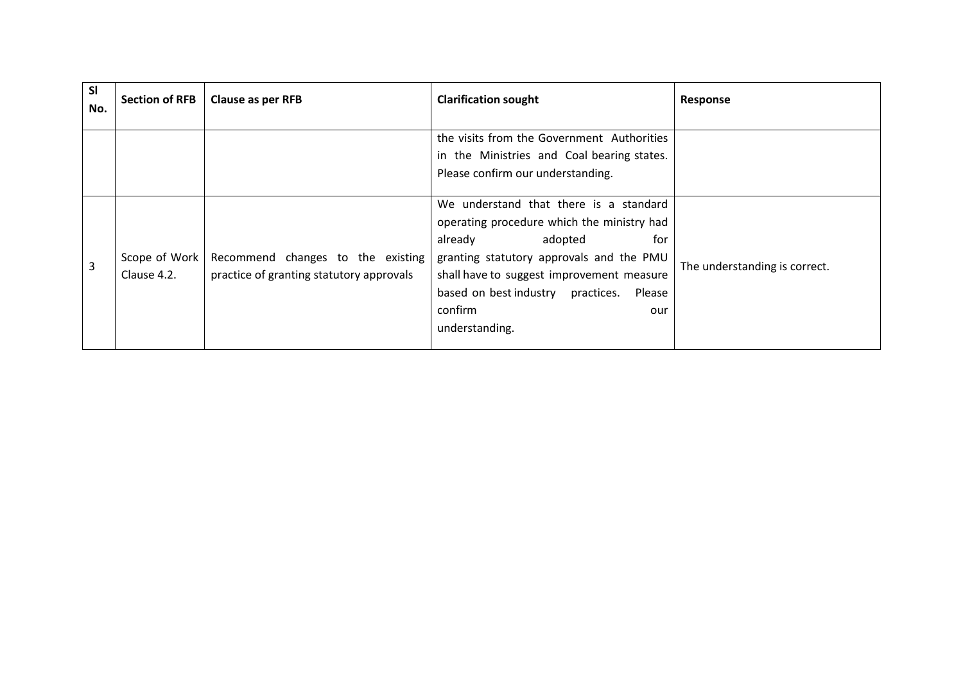| <b>SI</b><br>No. | <b>Section of RFB</b>        | Clause as per RFB                                                             | <b>Clarification sought</b>                                                                                                                                                                                                                                                                      | Response                      |
|------------------|------------------------------|-------------------------------------------------------------------------------|--------------------------------------------------------------------------------------------------------------------------------------------------------------------------------------------------------------------------------------------------------------------------------------------------|-------------------------------|
|                  |                              |                                                                               | the visits from the Government Authorities<br>in the Ministries and Coal bearing states.<br>Please confirm our understanding.                                                                                                                                                                    |                               |
| 3                | Scope of Work<br>Clause 4.2. | Recommend changes to the existing<br>practice of granting statutory approvals | We understand that there is a standard<br>operating procedure which the ministry had<br>already<br>for<br>adopted<br>granting statutory approvals and the PMU<br>shall have to suggest improvement measure<br>based on best industry<br>practices.<br>Please<br>confirm<br>our<br>understanding. | The understanding is correct. |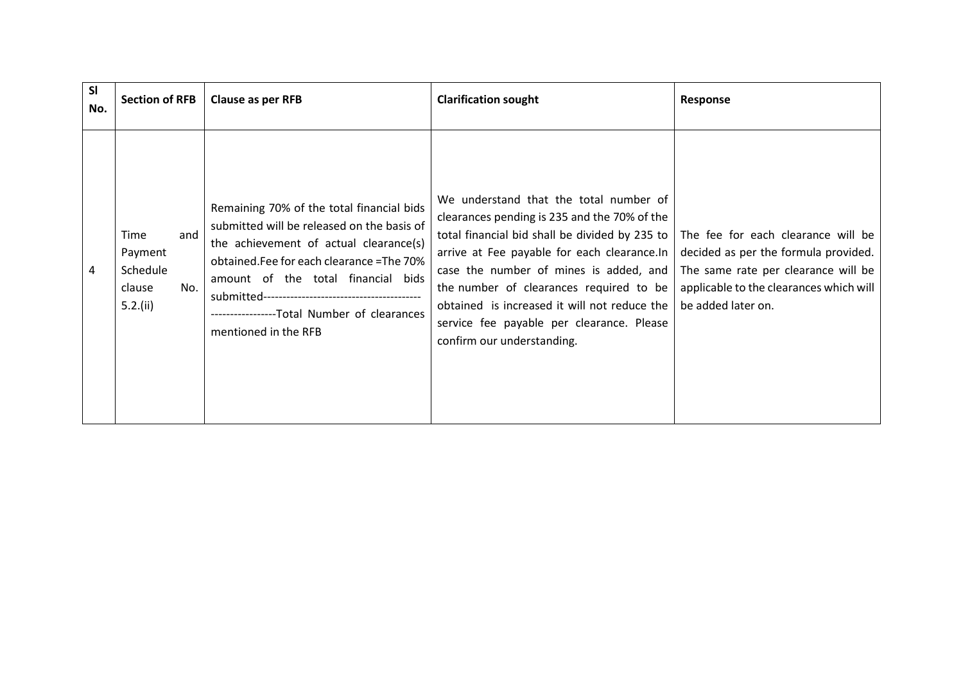| <b>SI</b><br>No. | <b>Section of RFB</b>                                              | Clause as per RFB                                                                                                                                                                                                                                                                             | <b>Clarification sought</b>                                                                                                                                                                                                                                                                                                                                                                              | Response                                                                                                                                                                           |
|------------------|--------------------------------------------------------------------|-----------------------------------------------------------------------------------------------------------------------------------------------------------------------------------------------------------------------------------------------------------------------------------------------|----------------------------------------------------------------------------------------------------------------------------------------------------------------------------------------------------------------------------------------------------------------------------------------------------------------------------------------------------------------------------------------------------------|------------------------------------------------------------------------------------------------------------------------------------------------------------------------------------|
| 4                | Time<br>and<br>Payment<br>Schedule<br>No.<br>clause<br>$5.2$ .(ii) | Remaining 70% of the total financial bids<br>submitted will be released on the basis of<br>the achievement of actual clearance(s)<br>obtained. Fee for each clearance = The 70%<br>amount of the total financial bids<br>------------------Total Number of clearances<br>mentioned in the RFB | We understand that the total number of<br>clearances pending is 235 and the 70% of the<br>total financial bid shall be divided by 235 to<br>arrive at Fee payable for each clearance. In<br>case the number of mines is added, and<br>the number of clearances required to be<br>obtained is increased it will not reduce the<br>service fee payable per clearance. Please<br>confirm our understanding. | The fee for each clearance will be<br>decided as per the formula provided.<br>The same rate per clearance will be<br>applicable to the clearances which will<br>be added later on. |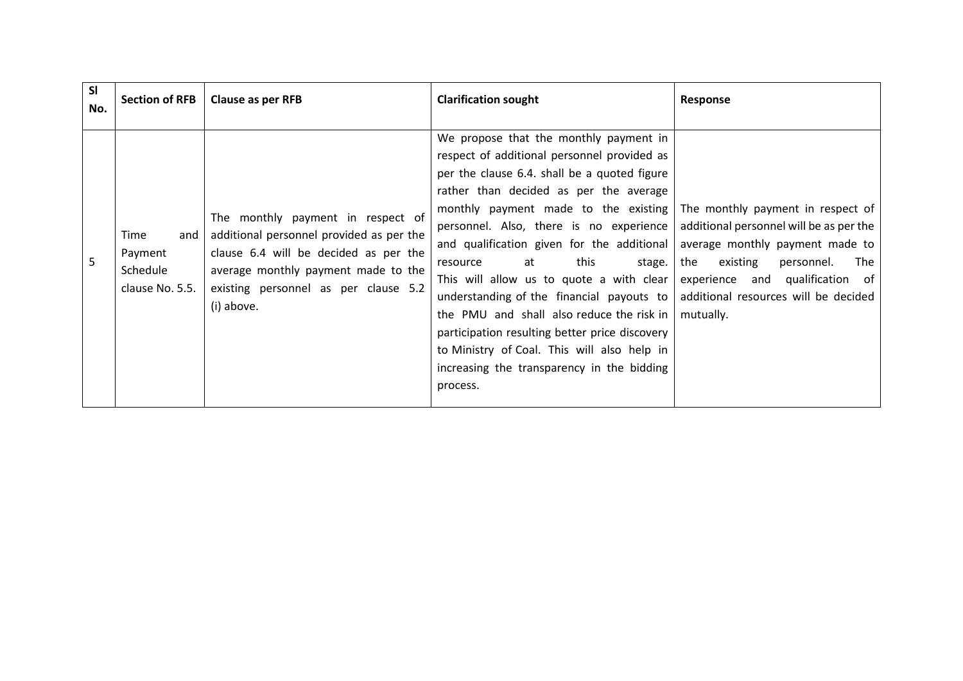| <b>SI</b><br>No. | <b>Section of RFB</b>                                 | Clause as per RFB                                                                                                                                                                                                   | <b>Clarification sought</b>                                                                                                                                                                                                                                                                                                                                                                                                                                                                                                                                                                                                                                                                       | Response                                                                                                                                                                                                   |
|------------------|-------------------------------------------------------|---------------------------------------------------------------------------------------------------------------------------------------------------------------------------------------------------------------------|---------------------------------------------------------------------------------------------------------------------------------------------------------------------------------------------------------------------------------------------------------------------------------------------------------------------------------------------------------------------------------------------------------------------------------------------------------------------------------------------------------------------------------------------------------------------------------------------------------------------------------------------------------------------------------------------------|------------------------------------------------------------------------------------------------------------------------------------------------------------------------------------------------------------|
| 5                | Time<br>and<br>Payment<br>Schedule<br>clause No. 5.5. | The monthly payment in respect of<br>additional personnel provided as per the<br>clause 6.4 will be decided as per the<br>average monthly payment made to the<br>existing personnel as per clause 5.2<br>(i) above. | We propose that the monthly payment in<br>respect of additional personnel provided as<br>per the clause 6.4. shall be a quoted figure<br>rather than decided as per the average<br>monthly payment made to the existing The monthly payment in respect of<br>personnel. Also, there is no experience  <br>and qualification given for the additional<br>this<br>stage.<br>at<br>resource<br>This will allow us to quote a with clear<br>understanding of the financial payouts to $\vert$<br>the PMU and shall also reduce the risk in<br>participation resulting better price discovery<br>to Ministry of Coal. This will also help in<br>increasing the transparency in the bidding<br>process. | additional personnel will be as per the<br>average monthly payment made to<br>The<br>the<br>existing<br>personnel.<br>experience and qualification of<br>additional resources will be decided<br>mutually. |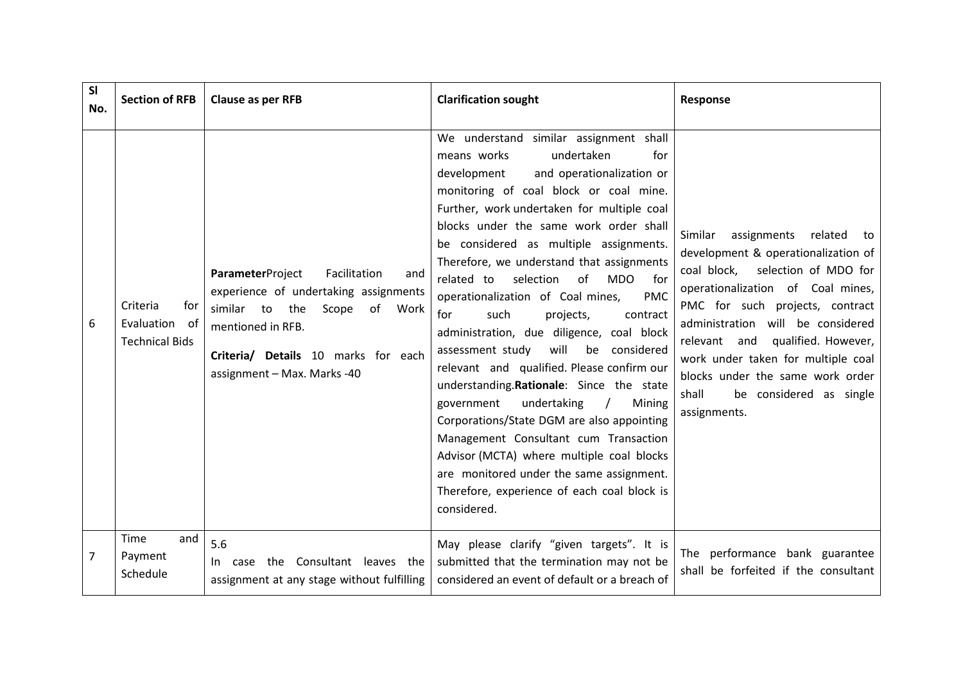| SI<br>No. | <b>Section of RFB</b>                                        | <b>Clause as per RFB</b>                                                                                                                                                                                             | <b>Clarification sought</b>                                                                                                                                                                                                                                                                                                                                                                                                                                                                                                                                                                                                                                                                                                                                                                                                                                                                                                                                                             | Response                                                                                                                                                                                                                                                                                                                                                                                             |
|-----------|--------------------------------------------------------------|----------------------------------------------------------------------------------------------------------------------------------------------------------------------------------------------------------------------|-----------------------------------------------------------------------------------------------------------------------------------------------------------------------------------------------------------------------------------------------------------------------------------------------------------------------------------------------------------------------------------------------------------------------------------------------------------------------------------------------------------------------------------------------------------------------------------------------------------------------------------------------------------------------------------------------------------------------------------------------------------------------------------------------------------------------------------------------------------------------------------------------------------------------------------------------------------------------------------------|------------------------------------------------------------------------------------------------------------------------------------------------------------------------------------------------------------------------------------------------------------------------------------------------------------------------------------------------------------------------------------------------------|
| 6         | Criteria<br>for<br>Evaluation<br>of<br><b>Technical Bids</b> | Facilitation<br>ParameterProject<br>and<br>experience of undertaking assignments<br>similar to the<br>Scope<br>of<br>Work<br>mentioned in RFB.<br>Criteria/ Details 10 marks for each<br>assignment - Max. Marks -40 | We understand similar assignment shall<br>undertaken<br>means works<br>for<br>development<br>and operationalization or<br>monitoring of coal block or coal mine.<br>Further, work undertaken for multiple coal<br>blocks under the same work order shall<br>be considered as multiple assignments.<br>Therefore, we understand that assignments<br>related to<br>selection<br>of<br><b>MDO</b><br>for<br>operationalization of Coal mines,<br><b>PMC</b><br>such<br>for<br>projects,<br>contract<br>administration, due diligence, coal block<br>will<br>be considered<br>assessment study<br>relevant and qualified. Please confirm our<br>understanding.Rationale: Since the state<br>undertaking<br>government<br>Mining<br>$\sqrt{ }$<br>Corporations/State DGM are also appointing<br>Management Consultant cum Transaction<br>Advisor (MCTA) where multiple coal blocks<br>are monitored under the same assignment.<br>Therefore, experience of each coal block is<br>considered. | assignments<br>related<br>Similar<br>to<br>development & operationalization of<br>coal block,<br>selection of MDO for<br>operationalization of Coal mines,<br>PMC for such projects, contract<br>administration will be considered<br>relevant and qualified. However,<br>work under taken for multiple coal<br>blocks under the same work order<br>shall<br>be considered as single<br>assignments. |
| 7         | Time<br>and<br>Payment<br>Schedule                           | 5.6<br>the Consultant leaves the<br>case<br>In I<br>assignment at any stage without fulfilling                                                                                                                       | May please clarify "given targets". It is<br>submitted that the termination may not be<br>considered an event of default or a breach of                                                                                                                                                                                                                                                                                                                                                                                                                                                                                                                                                                                                                                                                                                                                                                                                                                                 | The performance bank guarantee<br>shall be forfeited if the consultant                                                                                                                                                                                                                                                                                                                               |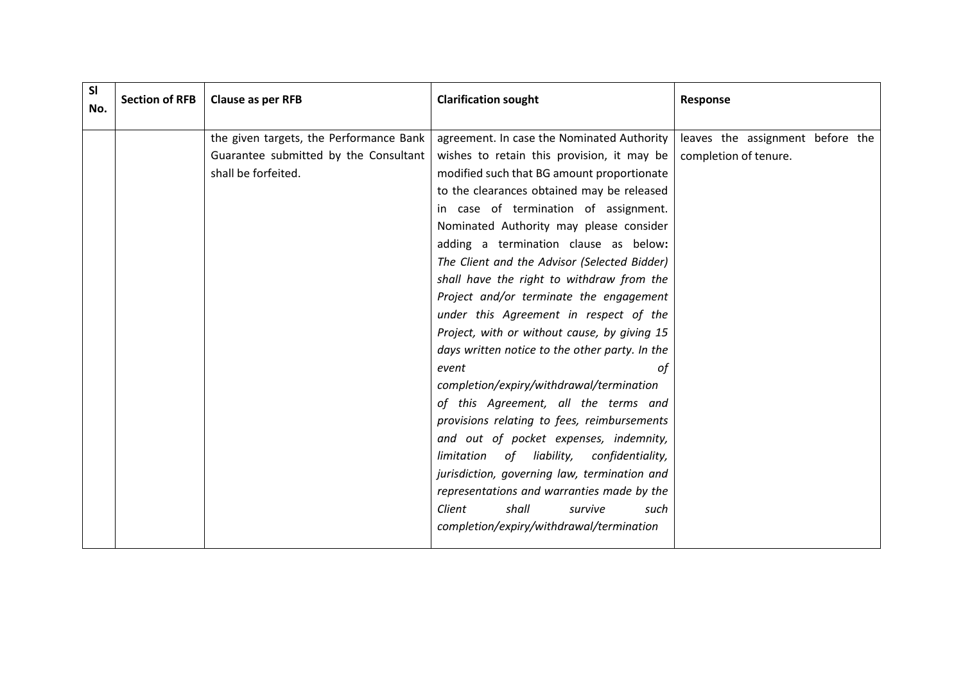| <b>SI</b><br>No. | <b>Section of RFB</b> | <b>Clause as per RFB</b>                | <b>Clarification sought</b>                     | Response                         |
|------------------|-----------------------|-----------------------------------------|-------------------------------------------------|----------------------------------|
|                  |                       | the given targets, the Performance Bank | agreement. In case the Nominated Authority      | leaves the assignment before the |
|                  |                       | Guarantee submitted by the Consultant   | wishes to retain this provision, it may be      | completion of tenure.            |
|                  |                       | shall be forfeited.                     | modified such that BG amount proportionate      |                                  |
|                  |                       |                                         | to the clearances obtained may be released      |                                  |
|                  |                       |                                         | in case of termination of assignment.           |                                  |
|                  |                       |                                         | Nominated Authority may please consider         |                                  |
|                  |                       |                                         | adding a termination clause as below:           |                                  |
|                  |                       |                                         | The Client and the Advisor (Selected Bidder)    |                                  |
|                  |                       |                                         | shall have the right to withdraw from the       |                                  |
|                  |                       |                                         | Project and/or terminate the engagement         |                                  |
|                  |                       |                                         | under this Agreement in respect of the          |                                  |
|                  |                       |                                         | Project, with or without cause, by giving 15    |                                  |
|                  |                       |                                         | days written notice to the other party. In the  |                                  |
|                  |                       |                                         | event<br>οf                                     |                                  |
|                  |                       |                                         | completion/expiry/withdrawal/termination        |                                  |
|                  |                       |                                         | of this Agreement, all the terms and            |                                  |
|                  |                       |                                         | provisions relating to fees, reimbursements     |                                  |
|                  |                       |                                         | and out of pocket expenses, indemnity,          |                                  |
|                  |                       |                                         | of liability,<br>limitation<br>confidentiality, |                                  |
|                  |                       |                                         | jurisdiction, governing law, termination and    |                                  |
|                  |                       |                                         | representations and warranties made by the      |                                  |
|                  |                       |                                         | Client<br>shall<br>survive<br>such              |                                  |
|                  |                       |                                         | completion/expiry/withdrawal/termination        |                                  |
|                  |                       |                                         |                                                 |                                  |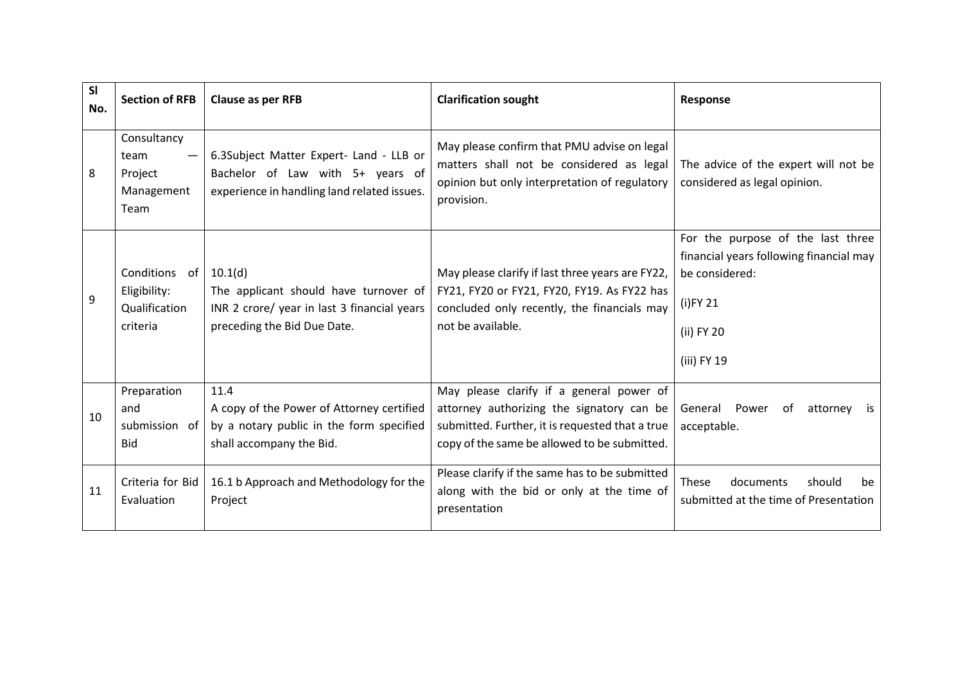| <b>SI</b><br>No. | <b>Section of RFB</b>                                      | Clause as per RFB                                                                                                              | <b>Clarification sought</b>                                                                                                                                                              | Response                                                                                                                                   |
|------------------|------------------------------------------------------------|--------------------------------------------------------------------------------------------------------------------------------|------------------------------------------------------------------------------------------------------------------------------------------------------------------------------------------|--------------------------------------------------------------------------------------------------------------------------------------------|
| 8                | Consultancy<br>team<br>Project<br>Management<br>Team       | 6.3Subject Matter Expert- Land - LLB or<br>Bachelor of Law with 5+ years of<br>experience in handling land related issues.     | May please confirm that PMU advise on legal<br>matters shall not be considered as legal<br>opinion but only interpretation of regulatory<br>provision.                                   | The advice of the expert will not be<br>considered as legal opinion.                                                                       |
| 9                | Conditions of<br>Eligibility:<br>Qualification<br>criteria | 10.1(d)<br>The applicant should have turnover of<br>INR 2 crore/ year in last 3 financial years<br>preceding the Bid Due Date. | May please clarify if last three years are FY22,<br>FY21, FY20 or FY21, FY20, FY19. As FY22 has<br>concluded only recently, the financials may<br>not be available.                      | For the purpose of the last three<br>financial years following financial may<br>be considered:<br>$(i)$ FY 21<br>(ii) FY 20<br>(iii) FY 19 |
| 10               | Preparation<br>and<br>submission of<br><b>Bid</b>          | 11.4<br>A copy of the Power of Attorney certified<br>by a notary public in the form specified<br>shall accompany the Bid.      | May please clarify if a general power of<br>attorney authorizing the signatory can be<br>submitted. Further, it is requested that a true<br>copy of the same be allowed to be submitted. | General<br>Power<br>0f<br>attorney<br>is is<br>acceptable.                                                                                 |
| 11               | Criteria for Bid<br>Evaluation                             | 16.1 b Approach and Methodology for the<br>Project                                                                             | Please clarify if the same has to be submitted<br>along with the bid or only at the time of<br>presentation                                                                              | These<br>documents<br>should<br>be<br>submitted at the time of Presentation                                                                |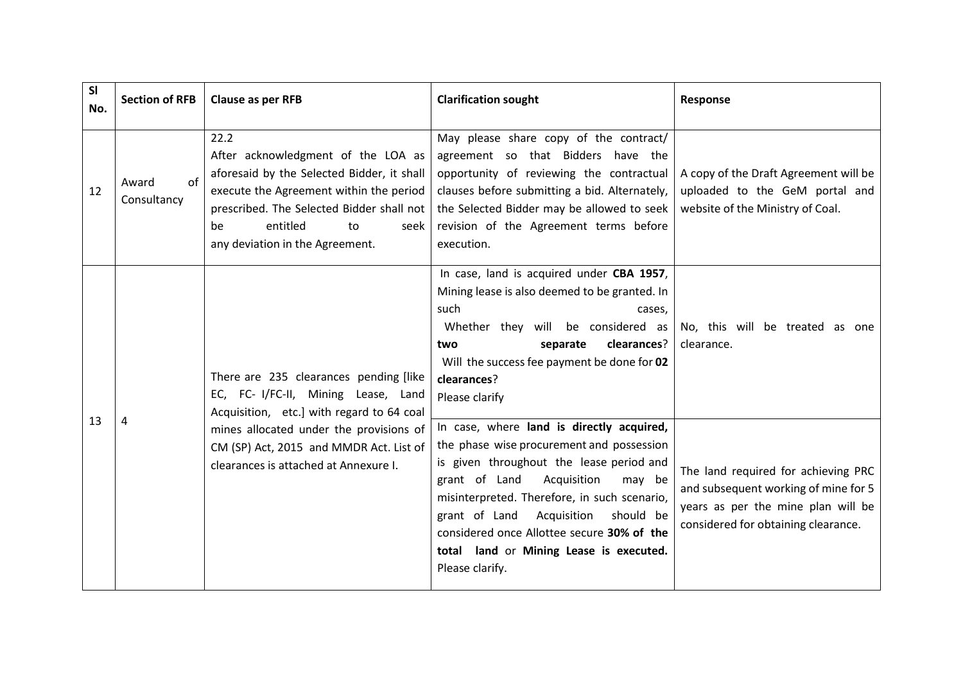| SI<br>No. | <b>Section of RFB</b>      | Clause as per RFB                                                                                                                                                                                                                                   | <b>Clarification sought</b>                                                                                                                                                                                                                                                                                                                                                                                                                                                                                                                        | Response                                                                                                                                                 |
|-----------|----------------------------|-----------------------------------------------------------------------------------------------------------------------------------------------------------------------------------------------------------------------------------------------------|----------------------------------------------------------------------------------------------------------------------------------------------------------------------------------------------------------------------------------------------------------------------------------------------------------------------------------------------------------------------------------------------------------------------------------------------------------------------------------------------------------------------------------------------------|----------------------------------------------------------------------------------------------------------------------------------------------------------|
| 12        | of<br>Award<br>Consultancy | 22.2<br>After acknowledgment of the LOA as<br>aforesaid by the Selected Bidder, it shall<br>execute the Agreement within the period<br>prescribed. The Selected Bidder shall not<br>entitled<br>be<br>seek<br>to<br>any deviation in the Agreement. | May please share copy of the contract/<br>agreement so that Bidders have the<br>opportunity of reviewing the contractual<br>clauses before submitting a bid. Alternately,<br>the Selected Bidder may be allowed to seek<br>revision of the Agreement terms before<br>execution.                                                                                                                                                                                                                                                                    | A copy of the Draft Agreement will be<br>uploaded to the GeM portal and<br>website of the Ministry of Coal.                                              |
|           |                            | There are 235 clearances pending [like<br>EC, FC- I/FC-II, Mining Lease, Land<br>Acquisition, etc.] with regard to 64 coal                                                                                                                          | In case, land is acquired under CBA 1957,<br>Mining lease is also deemed to be granted. In<br>such<br>cases,<br>Whether they will be considered as<br>No, this will be treated as one<br>clearances?<br>separate<br>clearance.<br>two<br>Will the success fee payment be done for 02<br>clearances?<br>Please clarify<br>In case, where land is directly acquired,<br>the phase wise procurement and possession<br>is given throughout the lease period and<br>grant of Land Acquisition<br>may be<br>misinterpreted. Therefore, in such scenario, |                                                                                                                                                          |
| 13        | 4                          | mines allocated under the provisions of<br>CM (SP) Act, 2015 and MMDR Act. List of<br>clearances is attached at Annexure I.                                                                                                                         | Acquisition<br>grant of Land<br>should be<br>considered once Allottee secure 30% of the<br>total land or Mining Lease is executed.<br>Please clarify.                                                                                                                                                                                                                                                                                                                                                                                              | The land required for achieving PRC<br>and subsequent working of mine for 5<br>years as per the mine plan will be<br>considered for obtaining clearance. |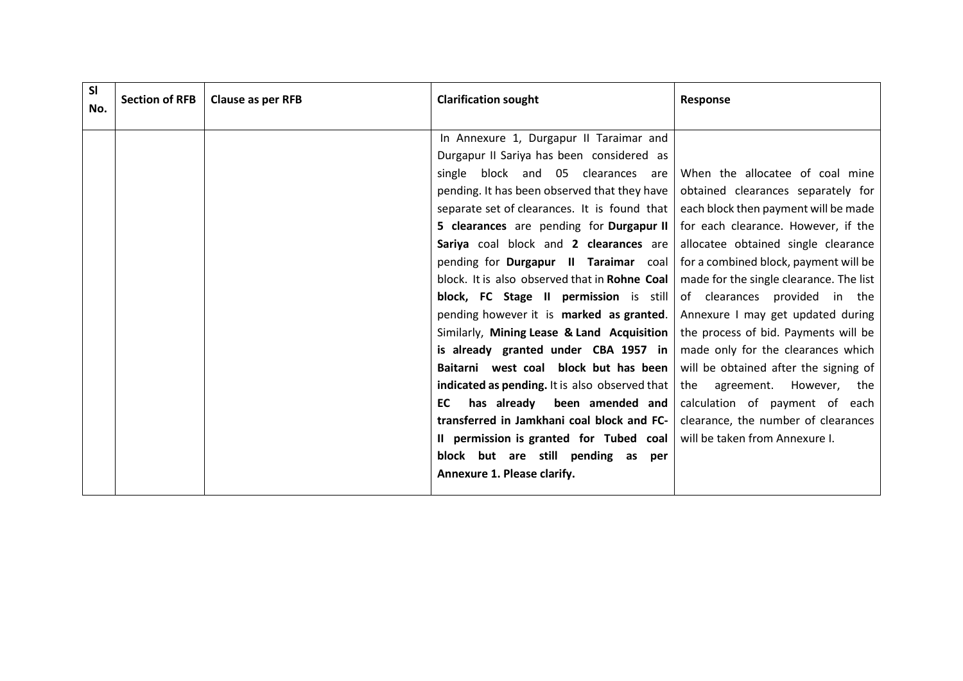| SI<br>No. | <b>Section of RFB</b> | Clause as per RFB | <b>Clarification sought</b>                    | Response                                |
|-----------|-----------------------|-------------------|------------------------------------------------|-----------------------------------------|
|           |                       |                   | In Annexure 1, Durgapur II Taraimar and        |                                         |
|           |                       |                   | Durgapur II Sariya has been considered as      |                                         |
|           |                       |                   | block and 05 clearances are<br>single          | When the allocatee of coal mine         |
|           |                       |                   | pending. It has been observed that they have   | obtained clearances separately for      |
|           |                       |                   | separate set of clearances. It is found that   | each block then payment will be made    |
|           |                       |                   | 5 clearances are pending for Durgapur II       | for each clearance. However, if the     |
|           |                       |                   | Sariya coal block and 2 clearances are         | allocatee obtained single clearance     |
|           |                       |                   | pending for Durgapur II Taraimar coal          | for a combined block, payment will be   |
|           |                       |                   | block. It is also observed that in Rohne Coal  | made for the single clearance. The list |
|           |                       |                   | block, FC Stage II permission is still         | of clearances provided in the           |
|           |                       |                   | pending however it is marked as granted.       | Annexure I may get updated during       |
|           |                       |                   | Similarly, Mining Lease & Land Acquisition     | the process of bid. Payments will be    |
|           |                       |                   | is already granted under CBA 1957 in           | made only for the clearances which      |
|           |                       |                   | Baitarni west coal block but has been          | will be obtained after the signing of   |
|           |                       |                   | indicated as pending. It is also observed that | the<br>agreement. However, the          |
|           |                       |                   | has already been amended and<br>EC             | calculation of payment of each          |
|           |                       |                   | transferred in Jamkhani coal block and FC-     | clearance, the number of clearances     |
|           |                       |                   | II permission is granted for Tubed coal        | will be taken from Annexure I.          |
|           |                       |                   | block but are still pending as<br>per          |                                         |
|           |                       |                   | Annexure 1. Please clarify.                    |                                         |
|           |                       |                   |                                                |                                         |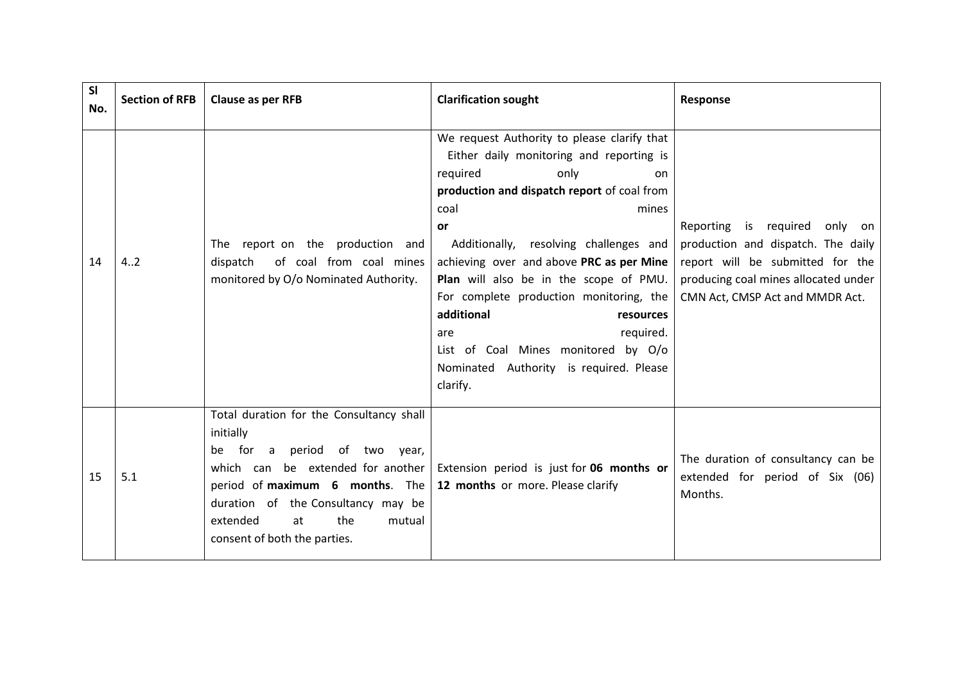| <b>SI</b><br>No. | <b>Section of RFB</b> | Clause as per RFB                                                                                                                                                                                                                                                                            | <b>Clarification sought</b>                                                                                                                                                                                                                                                                                                                                                                                                                                                                                      | Response                                                                                                                                                                                   |
|------------------|-----------------------|----------------------------------------------------------------------------------------------------------------------------------------------------------------------------------------------------------------------------------------------------------------------------------------------|------------------------------------------------------------------------------------------------------------------------------------------------------------------------------------------------------------------------------------------------------------------------------------------------------------------------------------------------------------------------------------------------------------------------------------------------------------------------------------------------------------------|--------------------------------------------------------------------------------------------------------------------------------------------------------------------------------------------|
| 14               | 4.2                   | The report on the production and<br>dispatch<br>of coal from coal mines<br>monitored by O/o Nominated Authority.                                                                                                                                                                             | We request Authority to please clarify that<br>Either daily monitoring and reporting is<br>only<br>required<br>nn.<br>production and dispatch report of coal from<br>coal<br>mines<br>or<br>Additionally, resolving challenges and<br>achieving over and above PRC as per Mine<br>Plan will also be in the scope of PMU.<br>For complete production monitoring, the<br>additional<br>resources<br>required.<br>are<br>List of Coal Mines monitored by O/o<br>Nominated Authority is required. Please<br>clarify. | Reporting is required<br>only<br>on o<br>production and dispatch. The daily<br>report will be submitted for the<br>producing coal mines allocated under<br>CMN Act, CMSP Act and MMDR Act. |
| 15               | 5.1                   | Total duration for the Consultancy shall<br>initially<br>for<br>$\mathsf{a}$<br>period of two year,<br>be<br>which can be extended for another<br>period of maximum $6$ months. The<br>duration of the Consultancy may be<br>the<br>extended<br>at<br>mutual<br>consent of both the parties. | Extension period is just for 06 months or<br>12 months or more. Please clarify                                                                                                                                                                                                                                                                                                                                                                                                                                   | The duration of consultancy can be<br>extended for period of Six (06)<br>Months.                                                                                                           |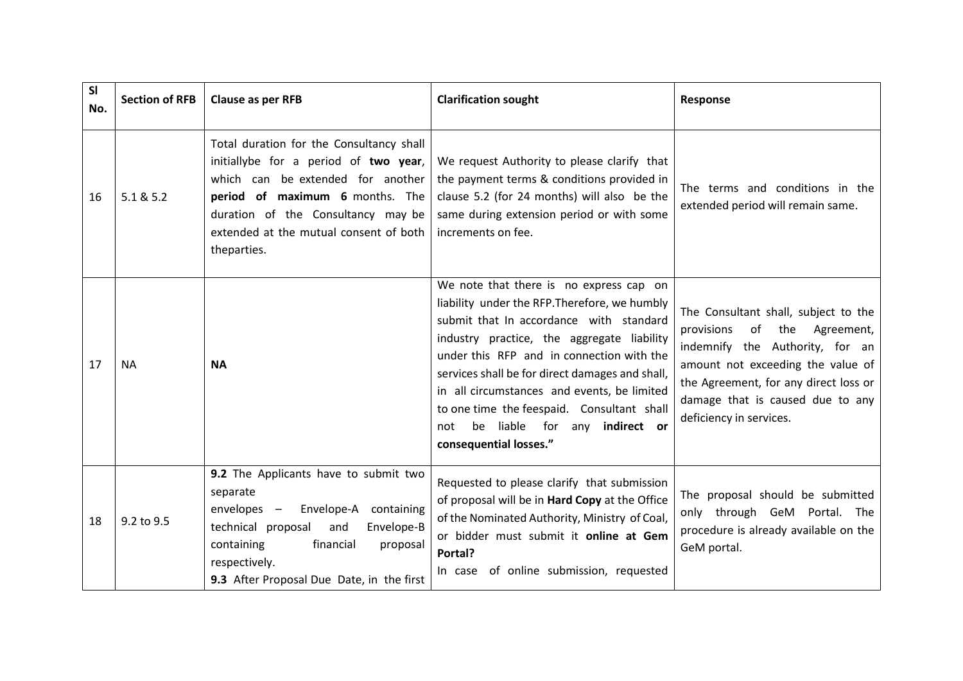| <b>SI</b><br>No. | <b>Section of RFB</b> | Clause as per RFB                                                                                                                                                                                                                                        | <b>Clarification sought</b>                                                                                                                                                                                                                                                                                                                                                                                                                      | Response                                                                                                                                                                                                                                                      |
|------------------|-----------------------|----------------------------------------------------------------------------------------------------------------------------------------------------------------------------------------------------------------------------------------------------------|--------------------------------------------------------------------------------------------------------------------------------------------------------------------------------------------------------------------------------------------------------------------------------------------------------------------------------------------------------------------------------------------------------------------------------------------------|---------------------------------------------------------------------------------------------------------------------------------------------------------------------------------------------------------------------------------------------------------------|
| 16               | 5.1 & 5.2             | Total duration for the Consultancy shall<br>initiallybe for a period of two year,<br>which can be extended for another<br>period of maximum 6 months. The<br>duration of the Consultancy may be<br>extended at the mutual consent of both<br>theparties. | We request Authority to please clarify that<br>the payment terms & conditions provided in<br>clause 5.2 (for 24 months) will also be the<br>same during extension period or with some<br>increments on fee.                                                                                                                                                                                                                                      | The terms and conditions in the<br>extended period will remain same.                                                                                                                                                                                          |
| 17               | <b>NA</b>             | <b>NA</b>                                                                                                                                                                                                                                                | We note that there is no express cap on<br>liability under the RFP. Therefore, we humbly<br>submit that In accordance with standard<br>industry practice, the aggregate liability<br>under this RFP and in connection with the<br>services shall be for direct damages and shall,<br>in all circumstances and events, be limited<br>to one time the feespaid. Consultant shall<br>be liable for any indirect or<br>not<br>consequential losses." | The Consultant shall, subject to the<br>of<br>the<br>Agreement,<br>provisions<br>indemnify the Authority, for an<br>amount not exceeding the value of<br>the Agreement, for any direct loss or<br>damage that is caused due to any<br>deficiency in services. |
| 18               | 9.2 to 9.5            | 9.2 The Applicants have to submit two<br>separate<br>Envelope-A containing<br>envelopes -<br>technical proposal<br>and<br>Envelope-B<br>containing<br>financial<br>proposal<br>respectively.<br>9.3 After Proposal Due Date, in the first                | Requested to please clarify that submission<br>of proposal will be in Hard Copy at the Office<br>of the Nominated Authority, Ministry of Coal,<br>or bidder must submit it online at Gem<br>Portal?<br>In case of online submission, requested                                                                                                                                                                                                   | The proposal should be submitted<br>only through GeM Portal. The<br>procedure is already available on the<br>GeM portal.                                                                                                                                      |